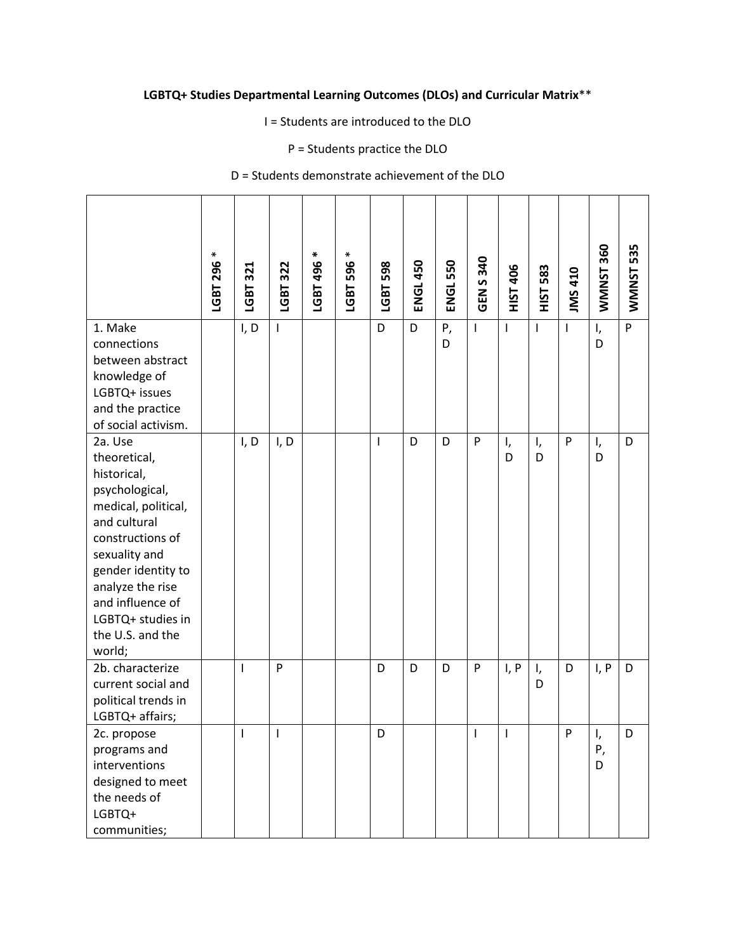## **LGBTQ+ Studies Departmental Learning Outcomes (DLOs) and Curricular Matrix**\*\*

I = Students are introduced to the DLO

P = Students practice the DLO

D = Students demonstrate achievement of the DLO

|                                                                                                                                                                                                                                                       | ∗<br>LGBT 296 | LGBT 321     | LGBT 322       | ₩<br>LGBT 496 | $\ast$<br>596<br>LGBT | LGBT 598 | <b>ENGL 450</b> | <b>ENGL 550</b> | 340<br>S<br>$rac{2}{5}$  | HIST 406       | 583<br>НST   | <b>IMS 410</b> | WMMNST 360    | 535<br>WMNST |
|-------------------------------------------------------------------------------------------------------------------------------------------------------------------------------------------------------------------------------------------------------|---------------|--------------|----------------|---------------|-----------------------|----------|-----------------|-----------------|--------------------------|----------------|--------------|----------------|---------------|--------------|
| 1. Make<br>connections<br>between abstract<br>knowledge of<br>LGBTQ+ issues<br>and the practice<br>of social activism.                                                                                                                                |               | I, D         | $\mathsf{I}$   |               |                       | D        | D               | P,<br>D         | $\overline{\phantom{a}}$ | $\mathsf I$    | $\mathsf{I}$ | $\mathbf{I}$   | I,<br>D       | P            |
| 2a. Use<br>theoretical,<br>historical,<br>psychological,<br>medical, political,<br>and cultural<br>constructions of<br>sexuality and<br>gender identity to<br>analyze the rise<br>and influence of<br>LGBTQ+ studies in<br>the U.S. and the<br>world; |               | I, D         | I, D           |               |                       | I        | D               | D               | P                        | ı,<br>D        | I,<br>D      | ${\sf P}$      | I,<br>D       | D            |
| 2b. characterize<br>current social and<br>political trends in<br>LGBTQ+ affairs;                                                                                                                                                                      |               | $\mathbf{I}$ | P              |               |                       | D        | D               | D               | P                        | I, P           | I,<br>D      | D              | I, P          | D            |
| 2c. propose<br>programs and<br>interventions<br>designed to meet<br>the needs of<br>LGBTQ+<br>communities;                                                                                                                                            |               | $\mathbf{I}$ | $\blacksquare$ |               |                       | D        |                 |                 | $\mathbf{I}$             | $\blacksquare$ |              | P              | I,<br>Ρ,<br>D | D            |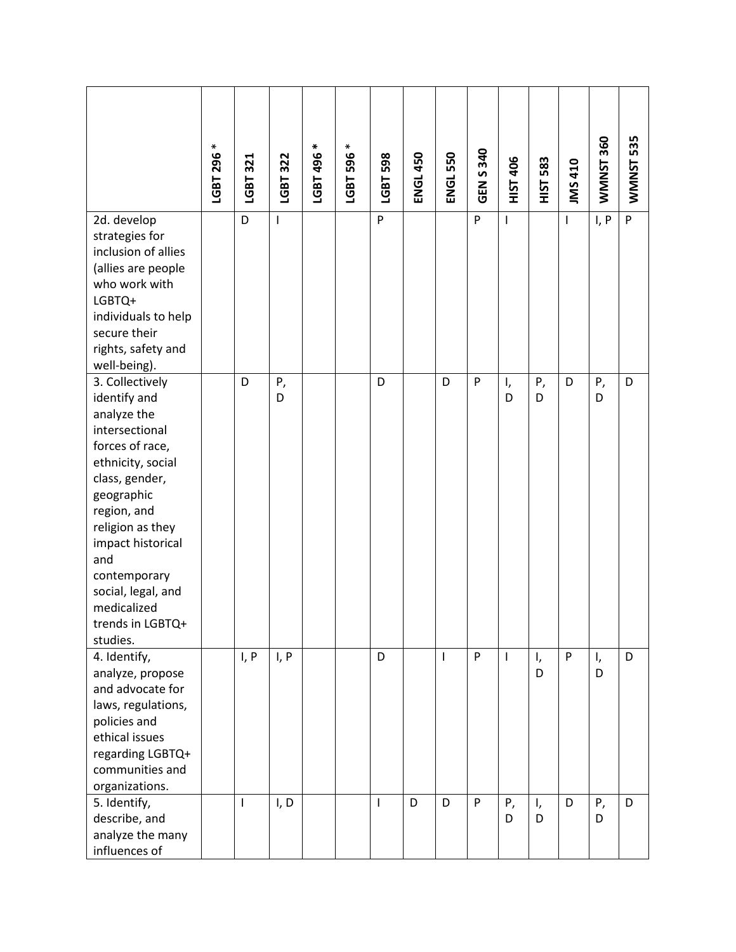|                                                                                                                                                                                                                                                                                              | ⋇<br>LGBT 296 | LGBT 321     | LGBT 322     | ∗<br>LGBT 496 | $\ast$<br>596<br>LGBT | LGBT 598     | <b>ENGL 450</b> | <b>ENGL 550</b> | GEN S 340 | <b>HIST 406</b> | 583<br><b>TSIH</b> | <b>IMS 410</b> | WMNNST 360 | WMNNST 535     |
|----------------------------------------------------------------------------------------------------------------------------------------------------------------------------------------------------------------------------------------------------------------------------------------------|---------------|--------------|--------------|---------------|-----------------------|--------------|-----------------|-----------------|-----------|-----------------|--------------------|----------------|------------|----------------|
| 2d. develop<br>strategies for<br>inclusion of allies<br>(allies are people<br>who work with<br>LGBTQ+<br>individuals to help<br>secure their<br>rights, safety and<br>well-being).                                                                                                           |               | D            | $\mathsf{I}$ |               |                       | P            |                 |                 | P         | $\mathbf{I}$    |                    | $\mathbf{I}$   | I, P       | $\overline{P}$ |
| 3. Collectively<br>identify and<br>analyze the<br>intersectional<br>forces of race,<br>ethnicity, social<br>class, gender,<br>geographic<br>region, and<br>religion as they<br>impact historical<br>and<br>contemporary<br>social, legal, and<br>medicalized<br>trends in LGBTQ+<br>studies. |               | D            | Ρ,<br>D      |               |                       | D            |                 | D               | P         | I,<br>D         | Ρ,<br>D            | D              | Ρ,<br>D    | D              |
| 4. Identify,<br>analyze, propose<br>and advocate for<br>laws, regulations,<br>policies and<br>ethical issues<br>regarding LGBTQ+<br>communities and<br>organizations.                                                                                                                        |               | I, P         | I, P         |               |                       | D            |                 | T               | P         | $\mathbf{I}$    | I,<br>D            | P              | I,<br>D    | D              |
| 5. Identify,<br>describe, and<br>analyze the many<br>influences of                                                                                                                                                                                                                           |               | $\mathbf{I}$ | I, D         |               |                       | $\mathbf{I}$ | D               | D               | P         | Ρ,<br>D         | I,<br>D            | D              | Ρ,<br>D    | D              |